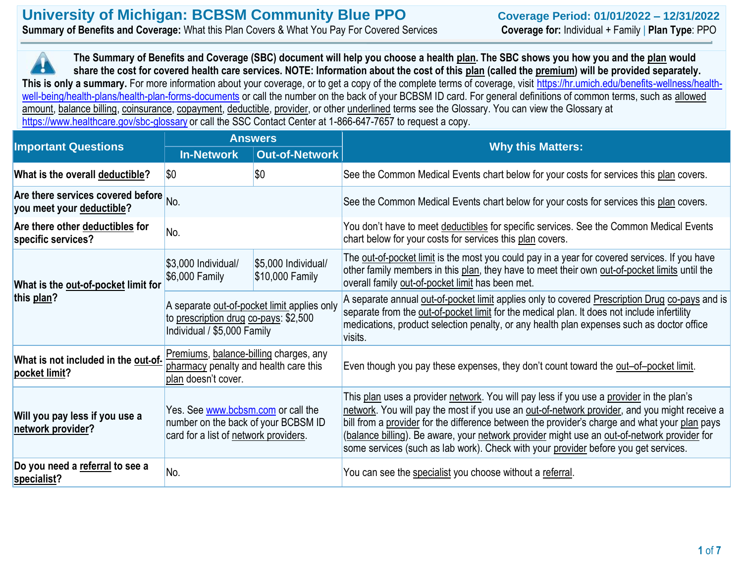## **University of Michigan: BCBSM Community Blue PPO Coverage Period: 01/01/2022 – 12/31/2022 Summary of Benefits and Coverage:** What this Plan Covers & What You Pay For Covered Services **Coverage for:** Individual + Family | **Plan Type**: PPO

**The Summary of Benefits and Coverage (SBC) document will help you choose a health plan. The SBC shows you how you and the plan would share the cost for covered health care services. NOTE: Information about the cost of this plan (called the premium) will be provided separately.**  This is only a summary. For more information about your coverage, or to get a copy of the complete terms of coverage, visit [https://hr.umich.edu/benefits-wellness/health](https://hr.umich.edu/benefits-wellness/health-well-being/health-plans/health-plan-forms-documents)[well-being/health-plans/health-plan-forms-documents](https://hr.umich.edu/benefits-wellness/health-well-being/health-plans/health-plan-forms-documents) or call the number on the back of your BCBSM ID card. For general definitions of common terms, such as allowed amount, balance billing, coinsurance, copayment, deductible, provider, or other underlined terms see the Glossary. You can view the Glossary at <https://www.healthcare.gov/sbc-glossary> or call the SSC Contact Center at 1-866-647-7657 to request a copy.

|                                                                                                                                                                           |                                                                                                                     | <b>Answers</b>                         |                                                                                                                                                                                                                                                                                                                                                                                                                                                                                  |  |  |
|---------------------------------------------------------------------------------------------------------------------------------------------------------------------------|---------------------------------------------------------------------------------------------------------------------|----------------------------------------|----------------------------------------------------------------------------------------------------------------------------------------------------------------------------------------------------------------------------------------------------------------------------------------------------------------------------------------------------------------------------------------------------------------------------------------------------------------------------------|--|--|
| <b>Important Questions</b>                                                                                                                                                | <b>In-Network</b>                                                                                                   | <b>Out-of-Network</b>                  | <b>Why this Matters:</b>                                                                                                                                                                                                                                                                                                                                                                                                                                                         |  |  |
| What is the overall deductible?                                                                                                                                           | $ \$0$                                                                                                              | \$0                                    | See the Common Medical Events chart below for your costs for services this plan covers.                                                                                                                                                                                                                                                                                                                                                                                          |  |  |
| Are there services covered before $_{\text{No}}$ .<br>you meet your deductible?                                                                                           |                                                                                                                     |                                        | See the Common Medical Events chart below for your costs for services this plan covers.                                                                                                                                                                                                                                                                                                                                                                                          |  |  |
| Are there other deductibles for<br>specific services?                                                                                                                     | No.                                                                                                                 |                                        | You don't have to meet deductibles for specific services. See the Common Medical Events<br>chart below for your costs for services this plan covers.                                                                                                                                                                                                                                                                                                                             |  |  |
| What is the out-of-pocket limit for                                                                                                                                       | \$3,000 Individual/<br>\$6,000 Family                                                                               | \$5,000 Individual/<br>\$10,000 Family | The out-of-pocket limit is the most you could pay in a year for covered services. If you have<br>other family members in this plan, they have to meet their own out-of-pocket limits until the<br>overall family out-of-pocket limit has been met.                                                                                                                                                                                                                               |  |  |
| this plan?                                                                                                                                                                | A separate out-of-pocket limit applies only<br>to prescription drug co-pays: \$2,500<br>Individual / \$5,000 Family |                                        | A separate annual out-of-pocket limit applies only to covered Prescription Drug co-pays and is<br>separate from the out-of-pocket limit for the medical plan. It does not include infertility<br>medications, product selection penalty, or any health plan expenses such as doctor office<br>visits.                                                                                                                                                                            |  |  |
| What is not included in the out-of-<br>pocket limit?                                                                                                                      | Premiums, balance-billing charges, any<br>pharmacy penalty and health care this<br>plan doesn't cover.              |                                        | Even though you pay these expenses, they don't count toward the out-of-pocket limit.                                                                                                                                                                                                                                                                                                                                                                                             |  |  |
| Yes. See www.bcbsm.com or call the<br>Will you pay less if you use a<br>number on the back of your BCBSM ID<br>network provider?<br>card for a list of network providers. |                                                                                                                     |                                        | This plan uses a provider network. You will pay less if you use a provider in the plan's<br>network. You will pay the most if you use an out-of-network provider, and you might receive a<br>bill from a provider for the difference between the provider's charge and what your plan pays<br>(balance billing). Be aware, your network provider might use an out-of-network provider for<br>some services (such as lab work). Check with your provider before you get services. |  |  |
| Do you need a referral to see a<br>specialist?                                                                                                                            | No.                                                                                                                 |                                        | You can see the specialist you choose without a referral.                                                                                                                                                                                                                                                                                                                                                                                                                        |  |  |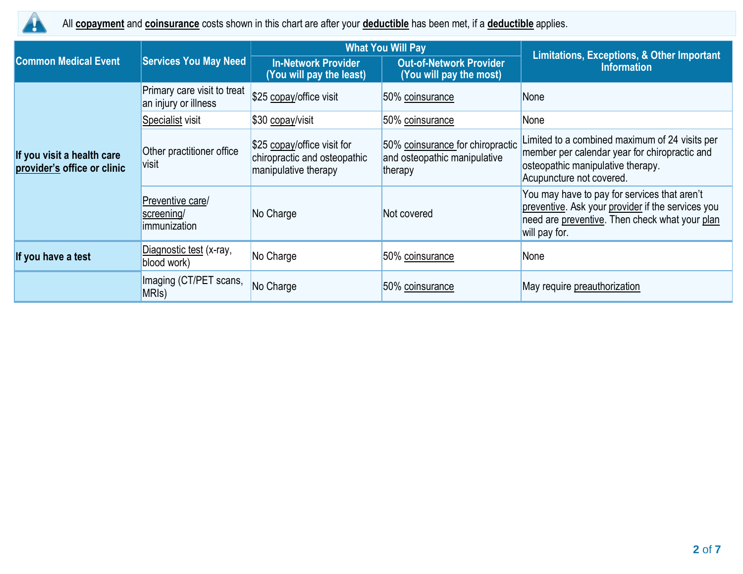

All **copayment** and **coinsurance** costs shown in this chart are after your **deductible** has been met, if a **deductible** applies.

|                                                           |                                                     |                                                                                     | <b>What You Will Pay</b>                                                    | Limitations, Exceptions, & Other Important<br><b>Information</b>                                                                                                     |  |
|-----------------------------------------------------------|-----------------------------------------------------|-------------------------------------------------------------------------------------|-----------------------------------------------------------------------------|----------------------------------------------------------------------------------------------------------------------------------------------------------------------|--|
| <b>Common Medical Event</b>                               | <b>Services You May Need</b>                        | <b>In-Network Provider</b><br>(You will pay the least)                              | <b>Out-of-Network Provider</b><br>(You will pay the most)                   |                                                                                                                                                                      |  |
|                                                           | Primary care visit to treat<br>an injury or illness | \$25 copay/office visit                                                             | 50% coinsurance                                                             | None                                                                                                                                                                 |  |
|                                                           | Specialist visit                                    | \$30 copay/visit                                                                    | 50% coinsurance                                                             | None                                                                                                                                                                 |  |
| If you visit a health care<br>provider's office or clinic | Other practitioner office<br>visit                  | \$25 copay/office visit for<br>chiropractic and osteopathic<br>manipulative therapy | 50% coinsurance for chiropractic<br>and osteopathic manipulative<br>therapy | Limited to a combined maximum of 24 visits per<br>member per calendar year for chiropractic and<br>osteopathic manipulative therapy.<br>Acupuncture not covered.     |  |
|                                                           | Preventive care/<br>screening/<br>immunization      | No Charge                                                                           | Not covered                                                                 | You may have to pay for services that aren't<br>preventive. Ask your provider if the services you<br>need are preventive. Then check what your plan<br>will pay for. |  |
| If you have a test                                        | Diagnostic test (x-ray,<br>blood work)              | No Charge                                                                           | 50% coinsurance                                                             | None                                                                                                                                                                 |  |
|                                                           | Imaging (CT/PET scans,<br>MRI <sub>s</sub> )        | No Charge                                                                           | 50% coinsurance                                                             | May require preauthorization                                                                                                                                         |  |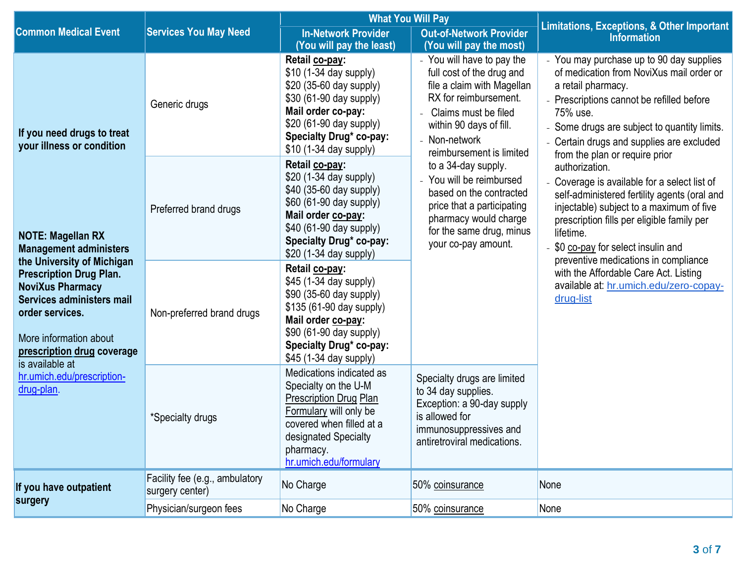|                                                                                                                                                                                                                                                                                 |                                                   | <b>What You Will Pay</b>                                                                                                                                                                                     |                                                                                                                                                                                                                | <b>Limitations, Exceptions, &amp; Other Important</b>                                                                                                                                                                                                                                            |  |  |
|---------------------------------------------------------------------------------------------------------------------------------------------------------------------------------------------------------------------------------------------------------------------------------|---------------------------------------------------|--------------------------------------------------------------------------------------------------------------------------------------------------------------------------------------------------------------|----------------------------------------------------------------------------------------------------------------------------------------------------------------------------------------------------------------|--------------------------------------------------------------------------------------------------------------------------------------------------------------------------------------------------------------------------------------------------------------------------------------------------|--|--|
| <b>Common Medical Event</b>                                                                                                                                                                                                                                                     | <b>Services You May Need</b>                      | <b>In-Network Provider</b><br>(You will pay the least)                                                                                                                                                       | <b>Out-of-Network Provider</b><br>(You will pay the most)                                                                                                                                                      | <b>Information</b>                                                                                                                                                                                                                                                                               |  |  |
| If you need drugs to treat<br>your illness or condition                                                                                                                                                                                                                         | Generic drugs                                     | Retail co-pay:<br>\$10 (1-34 day supply)<br>\$20 (35-60 day supply)<br>\$30 (61-90 day supply)<br>Mail order co-pay:<br>\$20 (61-90 day supply)<br><b>Specialty Drug* co-pay:</b><br>\$10 (1-34 day supply)  | - You will have to pay the<br>full cost of the drug and<br>file a claim with Magellan<br>RX for reimbursement.<br>Claims must be filed<br>within 90 days of fill.<br>- Non-network<br>reimbursement is limited | You may purchase up to 90 day supplies<br>of medication from NoviXus mail order or<br>a retail pharmacy.<br>- Prescriptions cannot be refilled before<br>75% use.<br>Some drugs are subject to quantity limits.<br>Certain drugs and supplies are excluded<br>from the plan or require prior     |  |  |
| <b>NOTE: Magellan RX</b><br><b>Management administers</b><br>the University of Michigan<br><b>Prescription Drug Plan.</b><br><b>NoviXus Pharmacy</b><br>Services administers mail<br>order services.<br>More information about<br>prescription drug coverage<br>is available at | Preferred brand drugs                             | Retail co-pay:<br>\$20 (1-34 day supply)<br>\$40 (35-60 day supply)<br>\$60 (61-90 day supply)<br>Mail order co-pay:<br>\$40 (61-90 day supply)<br>Specialty Drug* co-pay:<br>\$20 (1-34 day supply)         | to a 34-day supply.<br>- You will be reimbursed<br>based on the contracted<br>price that a participating<br>pharmacy would charge<br>for the same drug, minus<br>your co-pay amount.                           | authorization.<br>Coverage is available for a select list of<br>self-administered fertility agents (oral and<br>injectable) subject to a maximum of five<br>prescription fills per eligible family per<br>lifetime.<br>\$0 co-pay for select insulin and<br>preventive medications in compliance |  |  |
|                                                                                                                                                                                                                                                                                 | Non-preferred brand drugs                         | Retail co-pay:<br>\$45 (1-34 day supply)<br>\$90 (35-60 day supply)<br>\$135 (61-90 day supply)<br>Mail order co-pay:<br>\$90 (61-90 day supply)<br><b>Specialty Drug* co-pay:</b><br>\$45 (1-34 day supply) |                                                                                                                                                                                                                | with the Affordable Care Act. Listing<br>available at: hr.umich.edu/zero-copay-<br>drug-list                                                                                                                                                                                                     |  |  |
| hr.umich.edu/prescription-<br>drug-plan.                                                                                                                                                                                                                                        | *Specialty drugs                                  | Medications indicated as<br>Specialty on the U-M<br>Prescription Drug Plan<br>Formulary will only be<br>covered when filled at a<br>designated Specialty<br>pharmacy.<br>hr.umich.edu/formulary              | Specialty drugs are limited<br>to 34 day supplies.<br>Exception: a 90-day supply<br>is allowed for<br>immunosuppressives and<br>antiretroviral medications.                                                    |                                                                                                                                                                                                                                                                                                  |  |  |
| If you have outpatient<br>surgery                                                                                                                                                                                                                                               | Facility fee (e.g., ambulatory<br>surgery center) | No Charge                                                                                                                                                                                                    | 50% coinsurance                                                                                                                                                                                                | None                                                                                                                                                                                                                                                                                             |  |  |
|                                                                                                                                                                                                                                                                                 | Physician/surgeon fees                            | No Charge                                                                                                                                                                                                    | 50% coinsurance                                                                                                                                                                                                | None                                                                                                                                                                                                                                                                                             |  |  |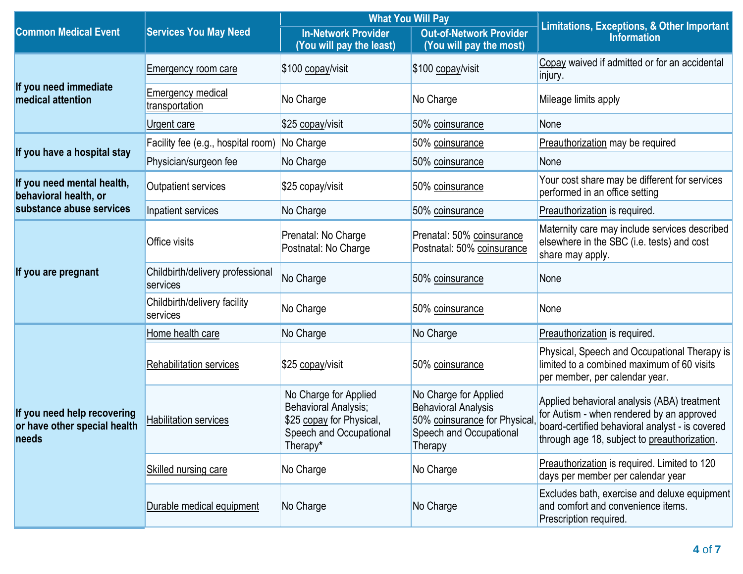|                                                                      |                                              |                                                                                                                  | <b>What You Will Pay</b>                                                                                                  | <b>Limitations, Exceptions, &amp; Other Important</b>                                                                                                                                       |  |
|----------------------------------------------------------------------|----------------------------------------------|------------------------------------------------------------------------------------------------------------------|---------------------------------------------------------------------------------------------------------------------------|---------------------------------------------------------------------------------------------------------------------------------------------------------------------------------------------|--|
| <b>Common Medical Event</b>                                          | <b>Services You May Need</b>                 | <b>In-Network Provider</b><br>(You will pay the least)                                                           | <b>Out-of-Network Provider</b><br>(You will pay the most)                                                                 | <b>Information</b>                                                                                                                                                                          |  |
|                                                                      | Emergency room care                          | \$100 copay/visit                                                                                                | \$100 copay/visit                                                                                                         | Copay waived if admitted or for an accidental<br>injury.                                                                                                                                    |  |
| If you need immediate<br>medical attention                           | Emergency medical<br>transportation          | No Charge                                                                                                        | No Charge                                                                                                                 | Mileage limits apply                                                                                                                                                                        |  |
|                                                                      | Urgent care                                  | \$25 copay/visit                                                                                                 | 50% coinsurance                                                                                                           | None                                                                                                                                                                                        |  |
| If you have a hospital stay                                          | Facility fee (e.g., hospital room)           | No Charge                                                                                                        | 50% coinsurance                                                                                                           | Preauthorization may be required                                                                                                                                                            |  |
|                                                                      | Physician/surgeon fee                        | No Charge                                                                                                        | 50% coinsurance                                                                                                           | None                                                                                                                                                                                        |  |
| If you need mental health,<br>behavioral health, or                  | <b>Outpatient services</b>                   | \$25 copay/visit                                                                                                 | 50% coinsurance                                                                                                           | Your cost share may be different for services<br>performed in an office setting                                                                                                             |  |
| substance abuse services                                             | Inpatient services                           | No Charge                                                                                                        | 50% coinsurance                                                                                                           | Preauthorization is required.                                                                                                                                                               |  |
|                                                                      | Office visits                                | Prenatal: No Charge<br>Postnatal: No Charge                                                                      | Prenatal: 50% coinsurance<br>Postnatal: 50% coinsurance                                                                   | Maternity care may include services described<br>elsewhere in the SBC (i.e. tests) and cost<br>share may apply.                                                                             |  |
| If you are pregnant                                                  | Childbirth/delivery professional<br>services | No Charge                                                                                                        | 50% coinsurance                                                                                                           | None                                                                                                                                                                                        |  |
|                                                                      | Childbirth/delivery facility<br>services     | No Charge                                                                                                        | 50% coinsurance                                                                                                           | None                                                                                                                                                                                        |  |
|                                                                      | Home health care                             | No Charge                                                                                                        | No Charge                                                                                                                 | Preauthorization is required.                                                                                                                                                               |  |
|                                                                      | <b>Rehabilitation services</b>               | \$25 copay/visit                                                                                                 | 50% coinsurance                                                                                                           | Physical, Speech and Occupational Therapy is<br>limited to a combined maximum of 60 visits<br>per member, per calendar year.                                                                |  |
| If you need help recovering<br>or have other special health<br>needs | <b>Habilitation services</b>                 | No Charge for Applied<br>Behavioral Analysis;<br>\$25 copay for Physical,<br>Speech and Occupational<br>Therapy* | No Charge for Applied<br><b>Behavioral Analysis</b><br>50% coinsurance for Physical<br>Speech and Occupational<br>Therapy | Applied behavioral analysis (ABA) treatment<br>for Autism - when rendered by an approved<br>board-certified behavioral analyst - is covered<br>through age 18, subject to preauthorization. |  |
|                                                                      | Skilled nursing care                         | No Charge                                                                                                        | No Charge                                                                                                                 | Preauthorization is required. Limited to 120<br>days per member per calendar year                                                                                                           |  |
|                                                                      | Durable medical equipment                    | No Charge                                                                                                        | No Charge                                                                                                                 | Excludes bath, exercise and deluxe equipment<br>and comfort and convenience items.<br>Prescription required.                                                                                |  |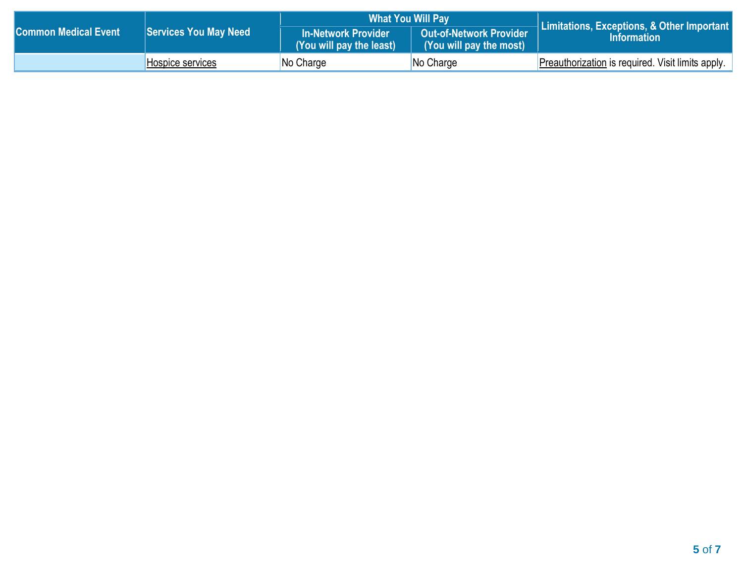|                             |                              | <b>What You Will Pay</b>                               |                                                           | Limitations, Exceptions, & Other Important        |
|-----------------------------|------------------------------|--------------------------------------------------------|-----------------------------------------------------------|---------------------------------------------------|
| <b>Common Medical Event</b> | <b>Services You May Need</b> | <b>In-Network Provider</b><br>(You will pay the least) | <b>Out-of-Network Provider</b><br>(You will pay the most) | <b>Information</b>                                |
|                             | Hospice services             | $No$ Charge                                            | No Charge                                                 | Preauthorization is required. Visit limits apply. |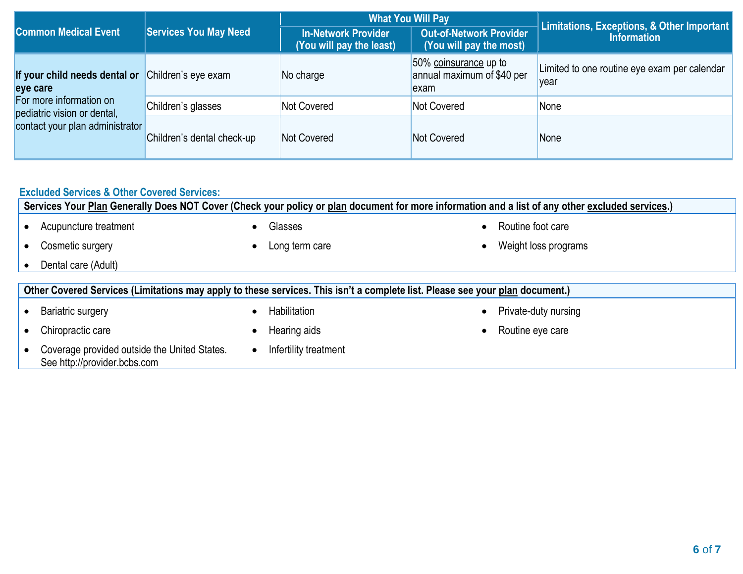|                                                        |                                                                                        | <b>What You Will Pay</b> |                                                              | Limitations, Exceptions, & Other Important           |  |
|--------------------------------------------------------|----------------------------------------------------------------------------------------|--------------------------|--------------------------------------------------------------|------------------------------------------------------|--|
| <b>Common Medical Event</b>                            | <b>Services You May Need</b><br><b>In-Network Provider</b><br>(You will pay the least) |                          | <b>Out-of-Network Provider</b><br>(You will pay the most)    | <b>Information</b>                                   |  |
| If your child needs dental or<br>eye care              | Children's eye exam                                                                    | No charge                | 50% coinsurance up to<br>annual maximum of \$40 per<br>lexam | Limited to one routine eye exam per calendar<br>vear |  |
| For more information on<br>pediatric vision or dental, | Children's glasses                                                                     | Not Covered              | Not Covered                                                  | None                                                 |  |
| contact your plan administrator                        | Children's dental check-up                                                             | Not Covered              | Not Covered                                                  | None                                                 |  |

| <b>Excluded Services &amp; Other Covered Services:</b><br>Services Your Plan Generally Does NOT Cover (Check your policy or plan document for more information and a list of any other excluded services.) |           |                                                                                                                              |  |                      |  |  |
|------------------------------------------------------------------------------------------------------------------------------------------------------------------------------------------------------------|-----------|------------------------------------------------------------------------------------------------------------------------------|--|----------------------|--|--|
| Acupuncture treatment                                                                                                                                                                                      | $\bullet$ | Glasses                                                                                                                      |  | Routine foot care    |  |  |
| Cosmetic surgery                                                                                                                                                                                           | $\bullet$ | Long term care                                                                                                               |  | Weight loss programs |  |  |
| Dental care (Adult)                                                                                                                                                                                        |           |                                                                                                                              |  |                      |  |  |
|                                                                                                                                                                                                            |           | Other Covered Services (Limitations may apply to these services. This isn't a complete list. Please see your plan document.) |  |                      |  |  |
| <b>Bariatric surgery</b>                                                                                                                                                                                   | $\bullet$ | Habilitation                                                                                                                 |  | Private-duty nursing |  |  |
| Chiropractic care                                                                                                                                                                                          |           | Hearing aids                                                                                                                 |  | Routine eye care     |  |  |
| Coverage provided outside the United States.<br>See http://provider.bcbs.com                                                                                                                               | $\bullet$ | Infertility treatment                                                                                                        |  |                      |  |  |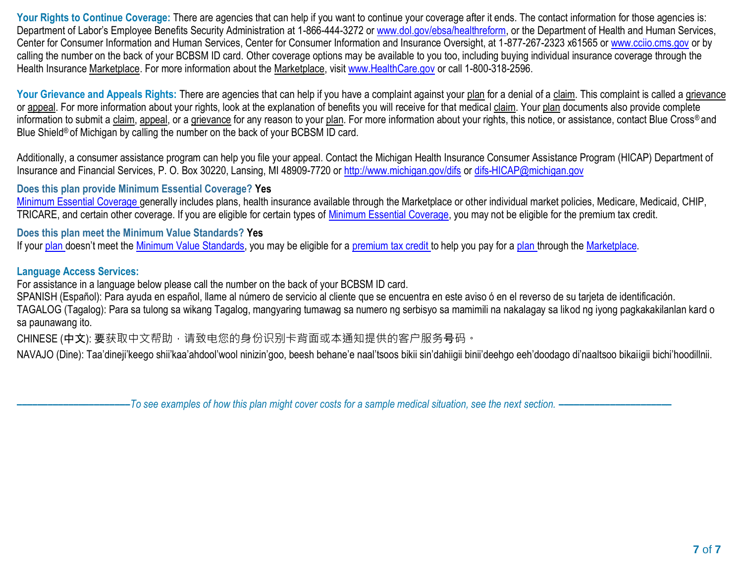Your Rights to Continue Coverage: There are agencies that can help if you want to continue your coverage after it ends. The contact information for those agencies is: Department of Labor's Employee Benefits Security Administration at 1-866-444-3272 o[r www.dol.gov/ebsa/healthreform,](http://www.dol.gov/ebsa/healthreform) or the Department of Health and Human Services, Center for Consumer Information and Human Services, Center for Consumer Information and Insurance Oversight, at 1-877-267-2323 x61565 or [www.cciio.cms.gov](http://www.cciio.cms.gov/) or by calling the number on the back of your BCBSM ID card. Other coverage options may be available to you too, including buying individual insurance coverage through the Health Insurance Marketplace. For more information about the Marketplace, visit [www.HealthCare.gov](http://www.healthcare.gov/) or call 1-800-318-2596.

Your Grievance and Appeals Rights: There are agencies that can help if you have a complaint against your plan for a denial of a claim. This complaint is called a grievance or appeal. For more information about your rights, look at the explanation of benefits you will receive for that medical claim. Your plan documents also provide complete information to submit a claim, appeal, or a grievance for any reason to your plan. For more information about your rights, this notice, or assistance, contact Blue Cross® and Blue Shield<sup>®</sup> of Michigan by calling the number on the back of your BCBSM ID card.

Additionally, a consumer assistance program can help you file your appeal. Contact the Michigan Health Insurance Consumer Assistance Program (HICAP) Department of Insurance and Financial Services, P. O. Box 30220, Lansing, MI 48909-7720 o[r http://www.michigan.gov/difs](http://www.michigan.gov/difs) o[r difs-HICAP@michigan.gov](mailto:difs-HICAP@michigan.gov)

### **Does this plan provide Minimum Essential Coverage? Yes**

[Minimum Essential Coverage g](https://www.healthcare.gov/sbc-glossary/#minimum-essential-coverage)enerally includes plans, health insurance available through the Marketplace or other individual market policies, Medicare, Medicaid, CHIP, TRICARE, and certain other coverage. If you are eligible for certain types of [Minimum Essential Coverage,](https://www.healthcare.gov/sbc-glossary/#minimum-essential-coverage) you may not be eligible for the premium tax credit.

### **Does this plan meet the Minimum Value Standards? Yes**

If your [plan](https://www.healthcare.gov/sbc-glossary/#plan) doesn't meet the [Minimum Value Standards,](https://www.healthcare.gov/sbc-glossary/#minimum-value-standard) you may be eligible for a [premium tax credit t](https://www.healthcare.gov/sbc-glossary/#premium-tax-credits)o help you pay for a [plan t](https://www.healthcare.gov/sbc-glossary/#plan)hrough th[e Marketplace.](https://www.healthcare.gov/sbc-glossary/#marketplace)

### **Language Access Services:**

For assistance in a language below please call the number on the back of your BCBSM ID card.

SPANISH (Español): Para ayuda en español, llame al número de servicio al cliente que se encuentra en este aviso ó en el reverso de su tarjeta de identificación.

TAGALOG (Tagalog): Para sa tulong sa wikang Tagalog, mangyaring tumawag sa numero ng serbisyo sa mamimili na nakalagay sa likod ng iyong pagkakakilanlan kard o sa paunawang ito.

CHINESE (中文): 要获取中文帮助, 请致电您的身份识别卡背面或本通知提供的客户服务号码。

NAVAJO (Dine): Taa'dineji'keego shii'kaa'ahdool'wool ninizin'goo, beesh behane'e naal'tsoos bikii sin'dahiigii binii'deehgo eeh'doodago di'naaltsoo bikaiigii bichi'hoodillnii.

**––––––––––––––––––––––***To see examples of how this plan might cover costs for a sample medical situation, see the next section. –––––––––––***–––––––––––**